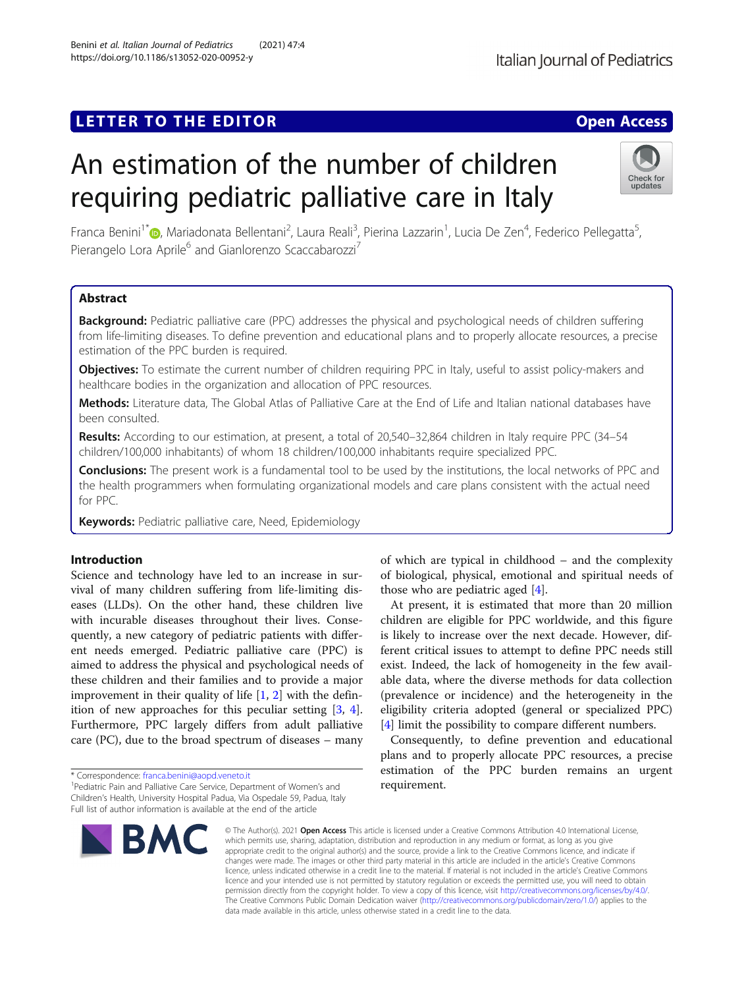## LETTER TO THE EDITOR **CONSIDERING A CONSIDERATION**

# An estimation of the number of children requiring pediatric palliative care in Italy

Franca Benini<sup>1\*</sup>®, Mariadonata Bellentani<sup>2</sup>, Laura Reali<sup>3</sup>, Pierina Lazzarin<sup>1</sup>, Lucia De Zen<sup>4</sup>, Federico Pellegatta<sup>5</sup> , Pierangelo Lora Aprile<sup>6</sup> and Gianlorenzo Scaccabarozzi<sup>7</sup>

### Abstract

Background: Pediatric palliative care (PPC) addresses the physical and psychological needs of children suffering from life-limiting diseases. To define prevention and educational plans and to properly allocate resources, a precise estimation of the PPC burden is required.

**Objectives:** To estimate the current number of children requiring PPC in Italy, useful to assist policy-makers and healthcare bodies in the organization and allocation of PPC resources.

Methods: Literature data, The Global Atlas of Palliative Care at the End of Life and Italian national databases have been consulted.

Results: According to our estimation, at present, a total of 20,540–32,864 children in Italy require PPC (34–54 children/100,000 inhabitants) of whom 18 children/100,000 inhabitants require specialized PPC.

**Conclusions:** The present work is a fundamental tool to be used by the institutions, the local networks of PPC and the health programmers when formulating organizational models and care plans consistent with the actual need for PPC.

Keywords: Pediatric palliative care, Need, Epidemiology

#### Introduction

Science and technology have led to an increase in survival of many children suffering from life-limiting diseases (LLDs). On the other hand, these children live with incurable diseases throughout their lives. Consequently, a new category of pediatric patients with different needs emerged. Pediatric palliative care (PPC) is aimed to address the physical and psychological needs of these children and their families and to provide a major improvement in their quality of life  $[1, 2]$  $[1, 2]$  $[1, 2]$  $[1, 2]$  with the definition of new approaches for this peculiar setting [\[3,](#page-2-0) [4](#page-2-0)]. Furthermore, PPC largely differs from adult palliative care (PC), due to the broad spectrum of diseases – many

\* Correspondence: [franca.benini@aopd.veneto.it](mailto:franca.benini@aopd.veneto.it) <sup>1</sup>

<sup>1</sup> Pediatric Pain and Palliative Care Service, Department of Women's and Children's Health, University Hospital Padua, Via Ospedale 59, Padua, Italy Full list of author information is available at the end of the article

of which are typical in childhood – and the complexity of biological, physical, emotional and spiritual needs of those who are pediatric aged [\[4](#page-2-0)].

At present, it is estimated that more than 20 million children are eligible for PPC worldwide, and this figure is likely to increase over the next decade. However, different critical issues to attempt to define PPC needs still exist. Indeed, the lack of homogeneity in the few available data, where the diverse methods for data collection (prevalence or incidence) and the heterogeneity in the eligibility criteria adopted (general or specialized PPC) [[4\]](#page-2-0) limit the possibility to compare different numbers.

Consequently, to define prevention and educational plans and to properly allocate PPC resources, a precise estimation of the PPC burden remains an urgent requirement.

© The Author(s), 2021 **Open Access** This article is licensed under a Creative Commons Attribution 4.0 International License, which permits use, sharing, adaptation, distribution and reproduction in any medium or format, as long as you give appropriate credit to the original author(s) and the source, provide a link to the Creative Commons licence, and indicate if changes were made. The images or other third party material in this article are included in the article's Creative Commons licence, unless indicated otherwise in a credit line to the material. If material is not included in the article's Creative Commons licence and your intended use is not permitted by statutory regulation or exceeds the permitted use, you will need to obtain permission directly from the copyright holder. To view a copy of this licence, visit [http://creativecommons.org/licenses/by/4.0/.](http://creativecommons.org/licenses/by/4.0/) The Creative Commons Public Domain Dedication waiver [\(http://creativecommons.org/publicdomain/zero/1.0/](http://creativecommons.org/publicdomain/zero/1.0/)) applies to the data made available in this article, unless otherwise stated in a credit line to the data.



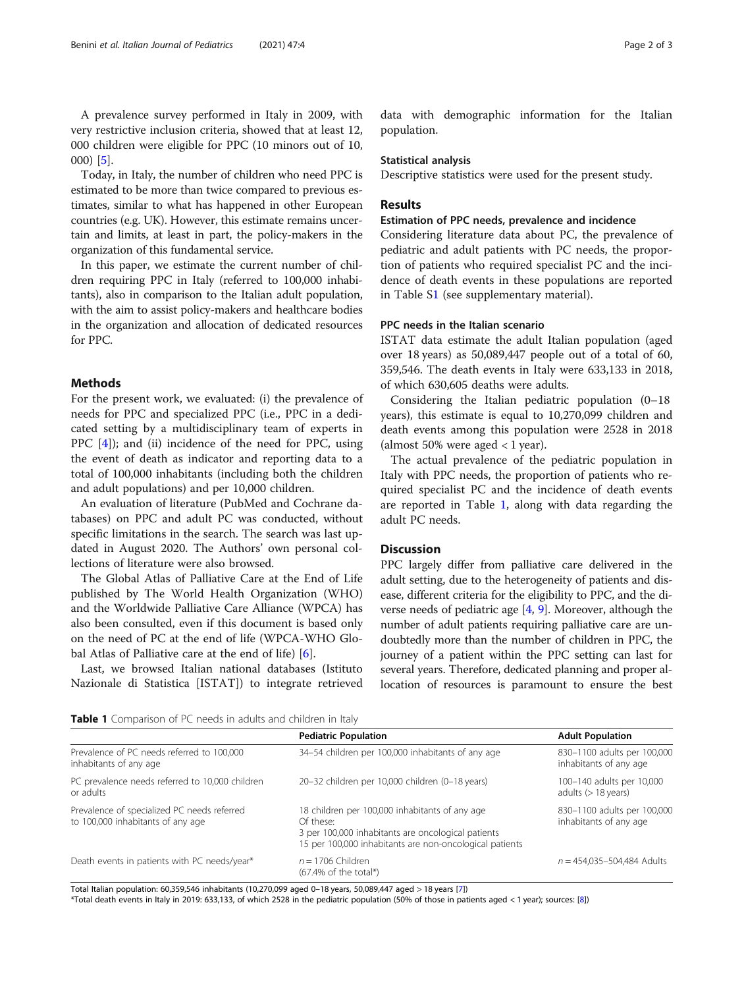A prevalence survey performed in Italy in 2009, with very restrictive inclusion criteria, showed that at least 12, 000 children were eligible for PPC (10 minors out of 10, 000) [[5\]](#page-2-0).

Today, in Italy, the number of children who need PPC is estimated to be more than twice compared to previous estimates, similar to what has happened in other European countries (e.g. UK). However, this estimate remains uncertain and limits, at least in part, the policy-makers in the organization of this fundamental service.

In this paper, we estimate the current number of children requiring PPC in Italy (referred to 100,000 inhabitants), also in comparison to the Italian adult population, with the aim to assist policy-makers and healthcare bodies in the organization and allocation of dedicated resources for PPC.

#### Methods

For the present work, we evaluated: (i) the prevalence of needs for PPC and specialized PPC (i.e., PPC in a dedicated setting by a multidisciplinary team of experts in PPC  $[4]$  $[4]$ ); and (ii) incidence of the need for PPC, using the event of death as indicator and reporting data to a total of 100,000 inhabitants (including both the children and adult populations) and per 10,000 children.

An evaluation of literature (PubMed and Cochrane databases) on PPC and adult PC was conducted, without specific limitations in the search. The search was last updated in August 2020. The Authors' own personal collections of literature were also browsed.

The Global Atlas of Palliative Care at the End of Life published by The World Health Organization (WHO) and the Worldwide Palliative Care Alliance (WPCA) has also been consulted, even if this document is based only on the need of PC at the end of life (WPCA-WHO Global Atlas of Palliative care at the end of life) [[6\]](#page-2-0).

Last, we browsed Italian national databases (Istituto Nazionale di Statistica [ISTAT]) to integrate retrieved data with demographic information for the Italian population.

#### Statistical analysis

Descriptive statistics were used for the present study.

#### Results

#### Estimation of PPC needs, prevalence and incidence

Considering literature data about PC, the prevalence of pediatric and adult patients with PC needs, the proportion of patients who required specialist PC and the incidence of death events in these populations are reported in Table S[1](#page-2-0) (see supplementary material).

#### PPC needs in the Italian scenario

ISTAT data estimate the adult Italian population (aged over 18 years) as 50,089,447 people out of a total of 60, 359,546. The death events in Italy were 633,133 in 2018, of which 630,605 deaths were adults.

Considering the Italian pediatric population (0–18 years), this estimate is equal to 10,270,099 children and death events among this population were 2528 in 2018 (almost 50% were aged  $<$  1 year).

The actual prevalence of the pediatric population in Italy with PPC needs, the proportion of patients who required specialist PC and the incidence of death events are reported in Table 1, along with data regarding the adult PC needs.

#### **Discussion**

PPC largely differ from palliative care delivered in the adult setting, due to the heterogeneity of patients and disease, different criteria for the eligibility to PPC, and the diverse needs of pediatric age  $[4, 9]$  $[4, 9]$  $[4, 9]$ . Moreover, although the number of adult patients requiring palliative care are undoubtedly more than the number of children in PPC, the journey of a patient within the PPC setting can last for several years. Therefore, dedicated planning and proper allocation of resources is paramount to ensure the best

Table 1 Comparison of PC needs in adults and children in Italy

|                                                                                  | <b>Pediatric Population</b>                                                                                                                                                  | <b>Adult Population</b>                               |
|----------------------------------------------------------------------------------|------------------------------------------------------------------------------------------------------------------------------------------------------------------------------|-------------------------------------------------------|
| Prevalence of PC needs referred to 100,000<br>inhabitants of any age             | 34-54 children per 100,000 inhabitants of any age                                                                                                                            | 830-1100 adults per 100,000<br>inhabitants of any age |
| PC prevalence needs referred to 10,000 children<br>or adults                     | 20-32 children per 10,000 children (0-18 years)                                                                                                                              | 100-140 adults per 10,000<br>adults $($ 18 years)     |
| Prevalence of specialized PC needs referred<br>to 100,000 inhabitants of any age | 18 children per 100,000 inhabitants of any age<br>Of these:<br>3 per 100,000 inhabitants are oncological patients<br>15 per 100,000 inhabitants are non-oncological patients | 830-1100 adults per 100,000<br>inhabitants of any age |
| Death events in patients with PC needs/year*                                     | $n = 1706$ Children<br>$(67.4\% \text{ of the total*})$                                                                                                                      | $n = 454,035 - 504,484$ Adults                        |

Total Italian population: 60,359,546 inhabitants (10,270,099 aged 0–18 years, 50,089,447 aged > 18 years [\[7\]](#page-2-0))

\*Total death events in Italy in 2019: 633,133, of which 2528 in the pediatric population (50% of those in patients aged < 1 year); sources: [\[8\]](#page-2-0))